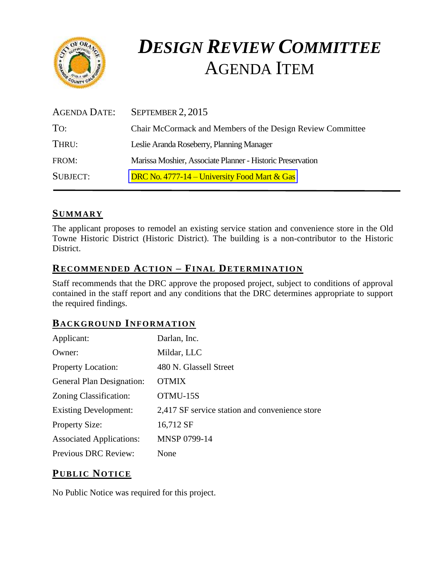

# *DESIGN REVIEW COMMITTEE* AGENDA ITEM

| <b>AGENDA DATE:</b> | SEPTEMBER 2, 2015                                          |
|---------------------|------------------------------------------------------------|
| To:                 | Chair McCormack and Members of the Design Review Committee |
| THRU:               | Leslie Aranda Roseberry, Planning Manager                  |
| FROM:               | Marissa Moshier, Associate Planner - Historic Preservation |
| <b>SUBJECT:</b>     | DRC No. 4777-14 – University Food Mart $&$ Gas             |

## **SUMMARY**

The applicant proposes to remodel an existing service station and convenience store in the Old Towne Historic District (Historic District). The building is a non-contributor to the Historic District.

## **RECOMMENDED ACTION – FINAL DETERMINATION**

Staff recommends that the DRC approve the proposed project, subject to conditions of approval contained in the staff report and any conditions that the DRC determines appropriate to support the required findings.

## **BACKGROUND INFORMATION**

| Applicant:                      | Darlan, Inc.                                   |
|---------------------------------|------------------------------------------------|
| Owner:                          | Mildar, LLC                                    |
| <b>Property Location:</b>       | 480 N. Glassell Street                         |
| General Plan Designation:       | <b>OTMIX</b>                                   |
| Zoning Classification:          | OTMU-15S                                       |
| <b>Existing Development:</b>    | 2,417 SF service station and convenience store |
| <b>Property Size:</b>           | 16,712 SF                                      |
| <b>Associated Applications:</b> | MNSP 0799-14                                   |
| Previous DRC Review:            | None                                           |

## **PUB LIC NOTICE**

No Public Notice was required for this project.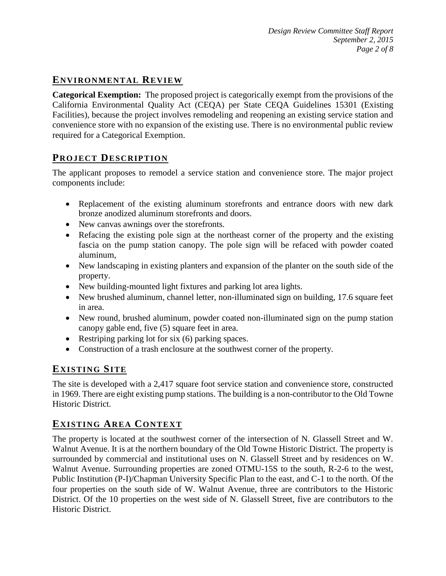# **ENVIRONMENTAL REVIEW**

**Categorical Exemption:** The proposed project is categorically exempt from the provisions of the California Environmental Quality Act (CEQA) per State CEQA Guidelines 15301 (Existing Facilities), because the project involves remodeling and reopening an existing service station and convenience store with no expansion of the existing use. There is no environmental public review required for a Categorical Exemption.

## **PROJECT DESCRIP TION**

The applicant proposes to remodel a service station and convenience store. The major project components include:

- Replacement of the existing aluminum storefronts and entrance doors with new dark bronze anodized aluminum storefronts and doors.
- New canvas awnings over the storefronts.
- Refacing the existing pole sign at the northeast corner of the property and the existing fascia on the pump station canopy. The pole sign will be refaced with powder coated aluminum,
- New landscaping in existing planters and expansion of the planter on the south side of the property.
- New building-mounted light fixtures and parking lot area lights.
- New brushed aluminum, channel letter, non-illuminated sign on building, 17.6 square feet in area.
- New round, brushed aluminum, powder coated non-illuminated sign on the pump station canopy gable end, five (5) square feet in area.
- Restriping parking lot for six (6) parking spaces.
- Construction of a trash enclosure at the southwest corner of the property.

## **EXISTING SITE**

The site is developed with a 2,417 square foot service station and convenience store, constructed in 1969. There are eight existing pump stations. The building is a non-contributor to the Old Towne Historic District.

## **EXISTING AREA CONTEXT**

The property is located at the southwest corner of the intersection of N. Glassell Street and W. Walnut Avenue. It is at the northern boundary of the Old Towne Historic District. The property is surrounded by commercial and institutional uses on N. Glassell Street and by residences on W. Walnut Avenue. Surrounding properties are zoned OTMU-15S to the south, R-2-6 to the west, Public Institution (P-I)/Chapman University Specific Plan to the east, and C-1 to the north. Of the four properties on the south side of W. Walnut Avenue, three are contributors to the Historic District. Of the 10 properties on the west side of N. Glassell Street, five are contributors to the Historic District.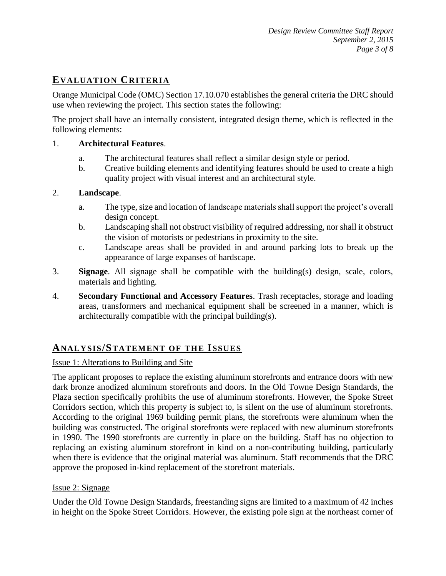# **EVALUATION CRITERIA**

Orange Municipal Code (OMC) Section 17.10.070 establishes the general criteria the DRC should use when reviewing the project. This section states the following:

The project shall have an internally consistent, integrated design theme, which is reflected in the following elements:

#### 1. **Architectural Features**.

- a. The architectural features shall reflect a similar design style or period.
- b. Creative building elements and identifying features should be used to create a high quality project with visual interest and an architectural style.

#### 2. **Landscape**.

- a. The type, size and location of landscape materials shall support the project's overall design concept.
- b. Landscaping shall not obstruct visibility of required addressing, nor shall it obstruct the vision of motorists or pedestrians in proximity to the site.
- c. Landscape areas shall be provided in and around parking lots to break up the appearance of large expanses of hardscape.
- 3. **Signage**. All signage shall be compatible with the building(s) design, scale, colors, materials and lighting.
- 4. **Secondary Functional and Accessory Features**. Trash receptacles, storage and loading areas, transformers and mechanical equipment shall be screened in a manner, which is architecturally compatible with the principal building(s).

## **ANALY SIS/STATEMENT OF THE ISSUES**

#### Issue 1: Alterations to Building and Site

The applicant proposes to replace the existing aluminum storefronts and entrance doors with new dark bronze anodized aluminum storefronts and doors. In the Old Towne Design Standards, the Plaza section specifically prohibits the use of aluminum storefronts. However, the Spoke Street Corridors section, which this property is subject to, is silent on the use of aluminum storefronts. According to the original 1969 building permit plans, the storefronts were aluminum when the building was constructed. The original storefronts were replaced with new aluminum storefronts in 1990. The 1990 storefronts are currently in place on the building. Staff has no objection to replacing an existing aluminum storefront in kind on a non-contributing building, particularly when there is evidence that the original material was aluminum. Staff recommends that the DRC approve the proposed in-kind replacement of the storefront materials.

#### Issue 2: Signage

Under the Old Towne Design Standards, freestanding signs are limited to a maximum of 42 inches in height on the Spoke Street Corridors. However, the existing pole sign at the northeast corner of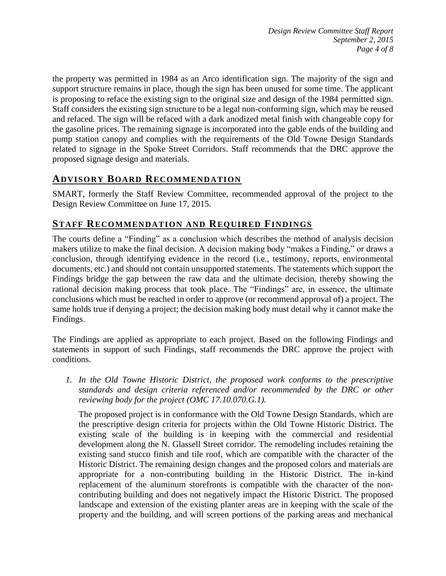the property was permitted in 1984 as an Arco identification sign. The majority of the sign and support structure remains in place, though the sign has been unused for some time. The applicant is proposing to reface the existing sign to the original size and design of the 1984 permitted sign. Staff considers the existing sign structure to be a legal non-conforming sign, which may be reused and refaced. The sign will be refaced with a dark anodized metal finish with changeable copy for the gasoline prices. The remaining signage is incorporated into the gable ends of the building and pump station canopy and complies with the requirements of the Old Towne Design Standards related to signage in the Spoke Street Corridors. Staff recommends that the DRC approve the proposed signage design and materials.

## **ADVISORY BOARD RECOMMENDATION**

SMART, formerly the Staff Review Committee, recommended approval of the project to the Design Review Committee on June 17, 2015.

## **STAFF RECOMMENDATION AND REQUIRED FINDINGS**

The courts define a "Finding" as a conclusion which describes the method of analysis decision makers utilize to make the final decision. A decision making body "makes a Finding," or draws a conclusion, through identifying evidence in the record (i.e., testimony, reports, environmental documents, etc.) and should not contain unsupported statements. The statements which support the Findings bridge the gap between the raw data and the ultimate decision, thereby showing the rational decision making process that took place. The "Findings" are, in essence, the ultimate conclusions which must be reached in order to approve (or recommend approval of) a project. The same holds true if denying a project; the decision making body must detail why it cannot make the Findings.

The Findings are applied as appropriate to each project. Based on the following Findings and statements in support of such Findings, staff recommends the DRC approve the project with conditions.

*1. In the Old Towne Historic District, the proposed work conforms to the prescriptive standards and design criteria referenced and/or recommended by the DRC or other reviewing body for the project (OMC 17.10.070.G.1).*

The proposed project is in conformance with the Old Towne Design Standards, which are the prescriptive design criteria for projects within the Old Towne Historic District. The existing scale of the building is in keeping with the commercial and residential development along the N. Glassell Street corridor. The remodeling includes retaining the existing sand stucco finish and tile roof, which are compatible with the character of the Historic District. The remaining design changes and the proposed colors and materials are appropriate for a non-contributing building in the Historic District. The in-kind replacement of the aluminum storefronts is compatible with the character of the noncontributing building and does not negatively impact the Historic District. The proposed landscape and extension of the existing planter areas are in keeping with the scale of the property and the building, and will screen portions of the parking areas and mechanical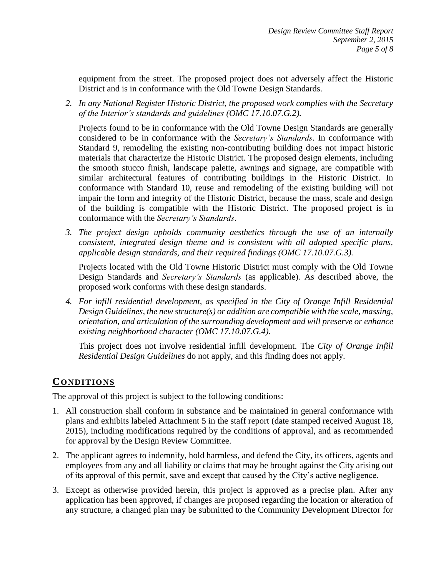equipment from the street. The proposed project does not adversely affect the Historic District and is in conformance with the Old Towne Design Standards.

*2. In any National Register Historic District, the proposed work complies with the Secretary of the Interior's standards and guidelines (OMC 17.10.07.G.2).*

Projects found to be in conformance with the Old Towne Design Standards are generally considered to be in conformance with the *Secretary's Standards*. In conformance with Standard 9, remodeling the existing non-contributing building does not impact historic materials that characterize the Historic District. The proposed design elements, including the smooth stucco finish, landscape palette, awnings and signage, are compatible with similar architectural features of contributing buildings in the Historic District. In conformance with Standard 10, reuse and remodeling of the existing building will not impair the form and integrity of the Historic District, because the mass, scale and design of the building is compatible with the Historic District. The proposed project is in conformance with the *Secretary's Standards*.

*3. The project design upholds community aesthetics through the use of an internally consistent, integrated design theme and is consistent with all adopted specific plans, applicable design standards, and their required findings (OMC 17.10.07.G.3).*

Projects located with the Old Towne Historic District must comply with the Old Towne Design Standards and *Secretary's Standards* (as applicable). As described above, the proposed work conforms with these design standards.

*4. For infill residential development, as specified in the City of Orange Infill Residential Design Guidelines, the new structure(s) or addition are compatible with the scale, massing, orientation, and articulation of the surrounding development and will preserve or enhance existing neighborhood character (OMC 17.10.07.G.4).*

This project does not involve residential infill development. The *City of Orange Infill Residential Design Guidelines* do not apply, and this finding does not apply.

## **CONDITIONS**

The approval of this project is subject to the following conditions:

- 1. All construction shall conform in substance and be maintained in general conformance with plans and exhibits labeled Attachment 5 in the staff report (date stamped received August 18, 2015), including modifications required by the conditions of approval, and as recommended for approval by the Design Review Committee.
- 2. The applicant agrees to indemnify, hold harmless, and defend the City, its officers, agents and employees from any and all liability or claims that may be brought against the City arising out of its approval of this permit, save and except that caused by the City's active negligence.
- 3. Except as otherwise provided herein, this project is approved as a precise plan. After any application has been approved, if changes are proposed regarding the location or alteration of any structure, a changed plan may be submitted to the Community Development Director for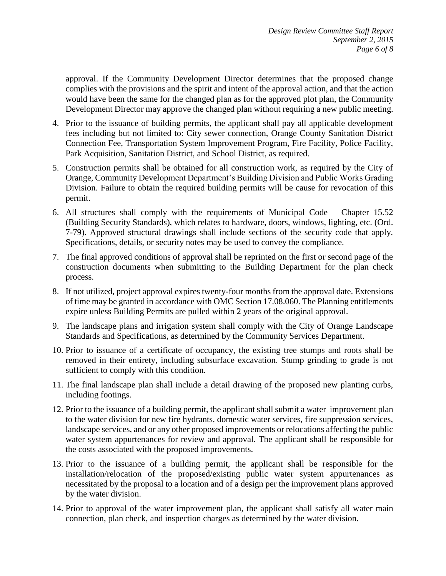approval. If the Community Development Director determines that the proposed change complies with the provisions and the spirit and intent of the approval action, and that the action would have been the same for the changed plan as for the approved plot plan, the Community Development Director may approve the changed plan without requiring a new public meeting.

- 4. Prior to the issuance of building permits, the applicant shall pay all applicable development fees including but not limited to: City sewer connection, Orange County Sanitation District Connection Fee, Transportation System Improvement Program, Fire Facility, Police Facility, Park Acquisition, Sanitation District, and School District, as required.
- 5. Construction permits shall be obtained for all construction work, as required by the City of Orange, Community Development Department's Building Division and Public Works Grading Division. Failure to obtain the required building permits will be cause for revocation of this permit.
- 6. All structures shall comply with the requirements of Municipal Code Chapter 15.52 (Building Security Standards), which relates to hardware, doors, windows, lighting, etc. (Ord. 7-79). Approved structural drawings shall include sections of the security code that apply. Specifications, details, or security notes may be used to convey the compliance.
- 7. The final approved conditions of approval shall be reprinted on the first or second page of the construction documents when submitting to the Building Department for the plan check process.
- 8. If not utilized, project approval expires twenty-four months from the approval date. Extensions of time may be granted in accordance with OMC Section 17.08.060. The Planning entitlements expire unless Building Permits are pulled within 2 years of the original approval.
- 9. The landscape plans and irrigation system shall comply with the City of Orange Landscape Standards and Specifications, as determined by the Community Services Department.
- 10. Prior to issuance of a certificate of occupancy, the existing tree stumps and roots shall be removed in their entirety, including subsurface excavation. Stump grinding to grade is not sufficient to comply with this condition.
- 11. The final landscape plan shall include a detail drawing of the proposed new planting curbs, including footings.
- 12. Prior to the issuance of a building permit, the applicant shall submit a water improvement plan to the water division for new fire hydrants, domestic water services, fire suppression services, landscape services, and or any other proposed improvements or relocations affecting the public water system appurtenances for review and approval. The applicant shall be responsible for the costs associated with the proposed improvements.
- 13. Prior to the issuance of a building permit, the applicant shall be responsible for the installation/relocation of the proposed/existing public water system appurtenances as necessitated by the proposal to a location and of a design per the improvement plans approved by the water division.
- 14. Prior to approval of the water improvement plan, the applicant shall satisfy all water main connection, plan check, and inspection charges as determined by the water division.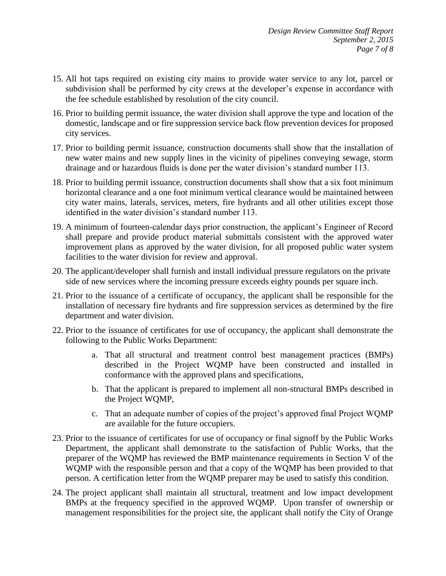- 15. All hot taps required on existing city mains to provide water service to any lot, parcel or subdivision shall be performed by city crews at the developer's expense in accordance with the fee schedule established by resolution of the city council.
- 16. Prior to building permit issuance, the water division shall approve the type and location of the domestic, landscape and or fire suppression service back flow prevention devices for proposed city services.
- 17. Prior to building permit issuance, construction documents shall show that the installation of new water mains and new supply lines in the vicinity of pipelines conveying sewage, storm drainage and or hazardous fluids is done per the water division's standard number 113.
- 18. Prior to building permit issuance, construction documents shall show that a six foot minimum horizontal clearance and a one foot minimum vertical clearance would be maintained between city water mains, laterals, services, meters, fire hydrants and all other utilities except those identified in the water division's standard number 113.
- 19. A minimum of fourteen-calendar days prior construction, the applicant's Engineer of Record shall prepare and provide product material submittals consistent with the approved water improvement plans as approved by the water division, for all proposed public water system facilities to the water division for review and approval.
- 20. The applicant/developer shall furnish and install individual pressure regulators on the private side of new services where the incoming pressure exceeds eighty pounds per square inch.
- 21. Prior to the issuance of a certificate of occupancy, the applicant shall be responsible for the installation of necessary fire hydrants and fire suppression services as determined by the fire department and water division.
- 22. Prior to the issuance of certificates for use of occupancy, the applicant shall demonstrate the following to the Public Works Department:
	- a. That all structural and treatment control best management practices (BMPs) described in the Project WQMP have been constructed and installed in conformance with the approved plans and specifications,
	- b. That the applicant is prepared to implement all non-structural BMPs described in the Project WQMP,
	- c. That an adequate number of copies of the project's approved final Project WQMP are available for the future occupiers.
- 23. Prior to the issuance of certificates for use of occupancy or final signoff by the Public Works Department, the applicant shall demonstrate to the satisfaction of Public Works, that the preparer of the WQMP has reviewed the BMP maintenance requirements in Section V of the WQMP with the responsible person and that a copy of the WQMP has been provided to that person. A certification letter from the WQMP preparer may be used to satisfy this condition.
- 24. The project applicant shall maintain all structural, treatment and low impact development BMPs at the frequency specified in the approved WQMP. Upon transfer of ownership or management responsibilities for the project site, the applicant shall notify the City of Orange